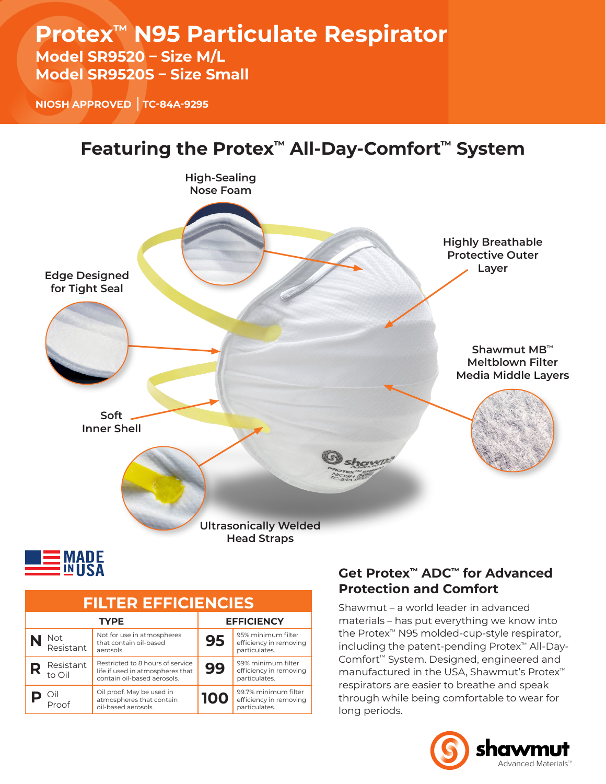# **Protex™ N95 Particulate Respirator**

### **Model SR9520 – Size M/L Model SR9520S – Size Small**

**NIOSH APPROVED TC-84A-9295**





| <b>FILTER EFFICIENCIES</b> |                     |                                                                                                     |                   |                                                                 |  |  |  |  |  |
|----------------------------|---------------------|-----------------------------------------------------------------------------------------------------|-------------------|-----------------------------------------------------------------|--|--|--|--|--|
| <b>TYPE</b>                |                     |                                                                                                     | <b>EFFICIENCY</b> |                                                                 |  |  |  |  |  |
|                            | Not<br>Resistant    | Not for use in atmospheres<br>that contain oil-based<br>aerosols.                                   | 95                | 95% minimum filter<br>efficiency in removing<br>particulates.   |  |  |  |  |  |
|                            | Resistant<br>to Oil | Restricted to 8 hours of service<br>life if used in atmospheres that<br>contain oil-based aerosols. | 99                | 99% minimum filter<br>efficiency in removing<br>particulates.   |  |  |  |  |  |
|                            | Oil<br>Proof        | Oil proof. May be used in<br>atmospheres that contain<br>oil-based aerosols.                        | 100               | 99.7% minimum filter<br>efficiency in removing<br>particulates. |  |  |  |  |  |

### **Get Protex™ ADC™ for Advanced Protection and Comfort**

Shawmut – a world leader in advanced materials – has put everything we know into the Protex™ N95 molded-cup-style respirator, including the patent-pending Protex™ All-Day-Comfort™ System. Designed, engineered and manufactured in the USA, Shawmut's Protex™ respirators are easier to breathe and speak through while being comfortable to wear for long periods.